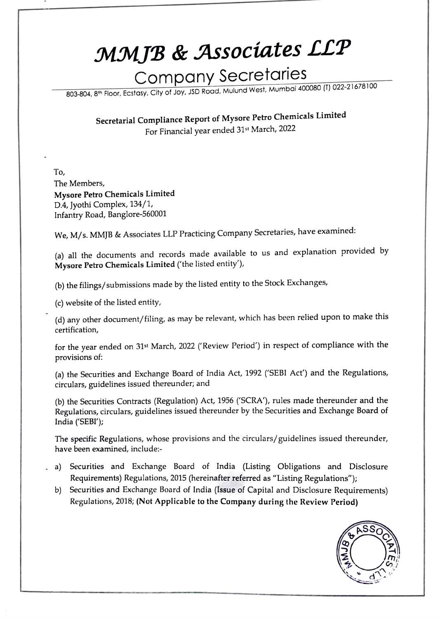## MMJB & Associates LLP

## Company Secretaries

803-804, 8h Floor, Ecstasy, City of Joy, JSD Road, Mulund West, Mumbai 400080 (T) O22-21678100

Secretarial Compliance Report of Mysore Petro Chemicals Limited For Financial year ended 31st March, 2022

To, The Members, Mysore Petro Chemicals Limited D.4, Jyothi Complex, 134/1, Infantry Road, Banglore-560001

We, M/s. MMJB & Associates LLP Practicing Company Secretaries, have examined:

(a) all the documents and records made available to us and explanation provided by Mysore Petro Chemicals Limited ('the listed entity'),

(b) the filings/submissions made by the listed entity to the Stock Exchanges,

(c) website of the listed entity,

(d) any other document/filing, as may be relevant, which has been relied upon to make this certification,

for the year ended on 31st March, 2022 ('Review Period') in respect of compliance with the provisions of:

(a) the Securities and Exchange Board of India Act, 1992 ('SEBI Act') and the Regulations, circulars, guidelines issued thereunder; and

(b) the Securities Contracts (Regulation) Act, 1956 ('SCRA'), rules made thereunder and the Regulations, circulars, guidelines issued thereunder by the Securities and Exchange Board of India ('SEBI');

The specific Regulations, whose provisions and the circulars/guidelines issued thereunder, have been examined, include:

- a) Securities and Exchange Board of India (Listing Obligations and Disclosure Requirements) Regulations, 2015 (hereinafter referred as "Listing Regulations");
	- b) Securities and Exchange Board of India (Issue of Capital and Disclosure Requirements) Regulations, 2018; (Not Applicable to the Company during the Review Period)

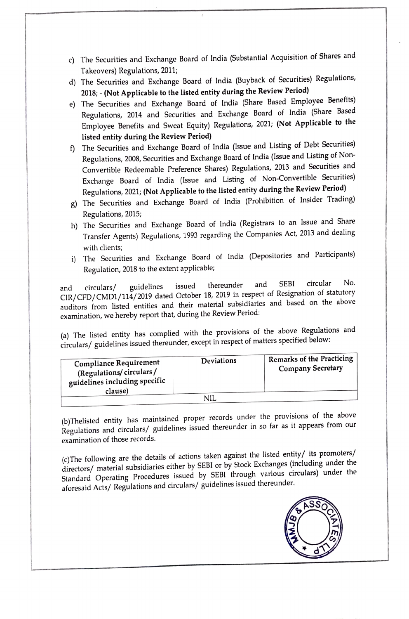- c) The Securities and Exchange Board of India (Substantial Acquisition of Shares and Takeovers) Regulations, 2011;
- d) The Securities and Exchange Board of India (Buyback of Securities) Regulations, 2018;-(Not Applicable to the listed entity during the Review Period)
- e) The Securities and Exchange Board of India (Share Based Employee Benefits) Regulations, 2014 and Securities and Exchange Board of India (Share Based Employee Benefits and Sweat Equity) Regulations, 2021; (Not Applicable to the listed entity during the Review Period)
- 1The Securities and Exchange Board of India (lssue and Listing of Debt Securities) Regulations, 2008, Securities and Exchange Board of India (Issue and Listing of Non-Convertible Redeemable Preference Shares) Regulations, 2013 and Securities and Exchange Board of India (Issue and Listing of Non-Convertible Securities) Regulations, 2021; (Not Applicable to the listed entity during the Review Period)
- g) The Securities and Exchange Board of India (Prohibition of Insider Trading) Regulations, 2015;
- h) The Securities and Exchange Board of India (Registrars to an Issue and Share Transfer Agents) Regulations, 1993 regarding the Companies Act, 2013 and dealing with clients;
- i) The Securities and Exchange Board of India (Depositories and Participants) Regulation, 2018 to the extent applicable;

and circulars/ guidelines issued thereunder and SEBI circular No.<br>CIR/CFD/CMD1/114/2019 dated October 18, 2019 in respect of Resignation of statutory auditors from listed entities and their material subsidiaries and based on the above examination, we hereby report that, during the Review Period:

(a) The listed entity has complied with the provisions of the above Regulations and circulars/ guidelines issued thereunder, except in respect of matters specified below:

| <b>Compliance Requirement</b><br>(Regulations/circulars/<br>guidelines including specific<br>clause) | Deviations | <b>Remarks of the Practicing</b><br><b>Company Secretary</b> |
|------------------------------------------------------------------------------------------------------|------------|--------------------------------------------------------------|
|                                                                                                      |            |                                                              |

(b)Thelisted entity has maintained proper records under the provisions of the above Regulations and circulars/ guidelines issued thereunder in so far as it appears from our examination of those records.

(c)The following are the details of actions taken against the listed entity/ its promoters/ directors/ material subsidiaries either by SEBI or by Stock Exchanges (including under the Standard Operating Procedures issued by SEBI through various circulars) under the aforesaid Acts/ Regulations and circulars/ guidelines issued thereunder.